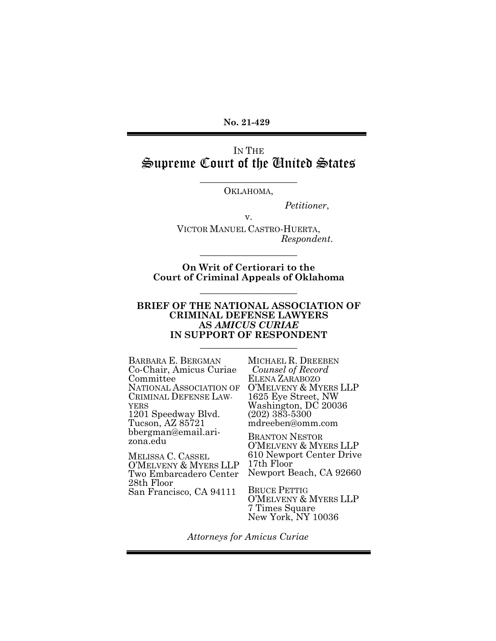**No. 21-429** 

### IN THE Supreme Court of the United States

\_\_\_\_\_\_\_\_\_\_\_\_\_\_\_\_\_\_\_\_ OKLAHOMA,

v.

*Petitioner*,

VICTOR MANUEL CASTRO-HUERTA,  *Respondent*.

**On Writ of Certiorari to the Court of Criminal Appeals of Oklahoma** 

\_\_\_\_\_\_\_\_\_\_\_\_\_\_\_\_\_\_\_\_

\_\_\_\_\_\_\_\_\_\_\_\_\_\_\_\_\_\_\_\_

#### **BRIEF OF THE NATIONAL ASSOCIATION OF CRIMINAL DEFENSE LAWYERS AS** *AMICUS CURIAE* **IN SUPPORT OF RESPONDENT**   $\_$

BARBARA E. BERGMAN Co-Chair, Amicus Curiae **Committee** NATIONAL ASSOCIATION OF CRIMINAL DEFENSE LAW-YERS 1201 Speedway Blvd. Tucson, AZ 85721 bbergman@email.arizona.edu

MELISSA C. CASSEL O'MELVENY & MYERS LLP Two Embarcadero Center 28th Floor San Francisco, CA 94111

MICHAEL R. DREEBEN *Counsel of Record* ELENA ZARABOZO O'MELVENY & MYERS LLP 1625 Eye Street, NW Washington, DC 20036 (202) 383-5300 mdreeben@omm.com

BRANTON NESTOR O'MELVENY & MYERS LLP 610 Newport Center Drive 17th Floor Newport Beach, CA 92660

BRUCE PETTIG O'MELVENY & MYERS LLP 7 Times Square New York, NY 10036

*Attorneys for Amicus Curiae*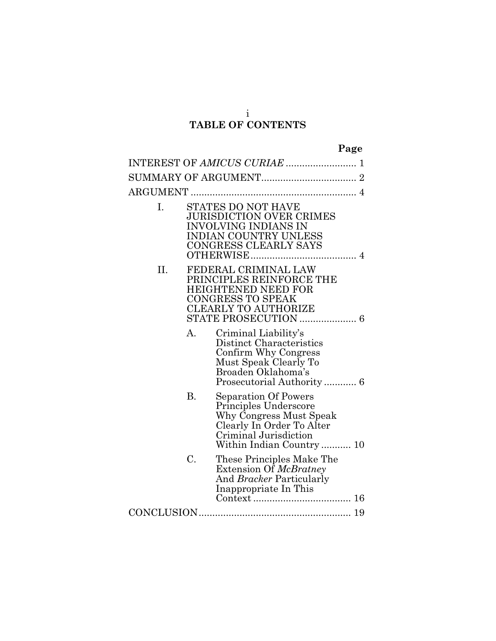### **TABLE OF CONTENTS**

| Ι. |    | STATES DO NOT HAVE<br><b>JURISDICTION OVER CRIMES</b><br>INVOLVING INDIANS IN<br><b>INDIAN COUNTRY UNLESS</b><br>CONGRESS CLEARLY SAYS                     |  |  |
|----|----|------------------------------------------------------------------------------------------------------------------------------------------------------------|--|--|
| Н. |    | FEDERAL CRIMINAL LAW<br>PRINCIPLES REINFORCE THE<br><b>HEIGHTENED NEED FOR</b><br>CONGRESS TO SPEAK<br>CLEARLY TO AUTHORIZE                                |  |  |
|    | A. | Criminal Liability's<br>Distinct Characteristics<br>Confirm Why Congress<br>Must Speak Clearly To<br>Broaden Oklahoma's                                    |  |  |
|    | В. | Separation Of Powers<br>Principles Underscore<br>Why Congress Must Speak<br>Clearly In Order To Alter<br>Criminal Jurisdiction<br>Within Indian Country 10 |  |  |
|    | C. | These Principles Make The<br>Extension Of McBratney<br>And <i>Bracker</i> Particularly<br>Inappropriate In This                                            |  |  |
|    |    |                                                                                                                                                            |  |  |

i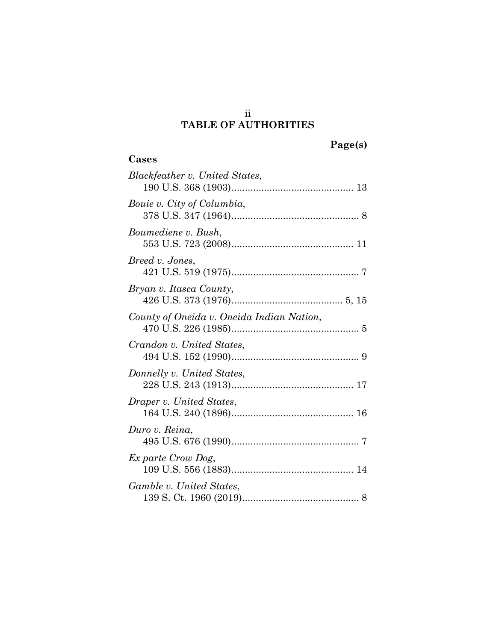# **TABLE OF AUTHORITIES**

**Cases**

| ., | ger | e |
|----|-----|---|
|    |     |   |

| Blackfeather v. United States,            |
|-------------------------------------------|
| Bouie v. City of Columbia,                |
| Boumediene v. Bush,                       |
| Breed v. Jones,                           |
| Bryan v. Itasca County,                   |
| County of Oneida v. Oneida Indian Nation, |
| Crandon v. United States,                 |
| Donnelly v. United States,                |
| Draper v. United States,                  |
| Duro v. Reina,                            |
| Ex parte Crow Dog,                        |
| Gamble v. United States,                  |

ii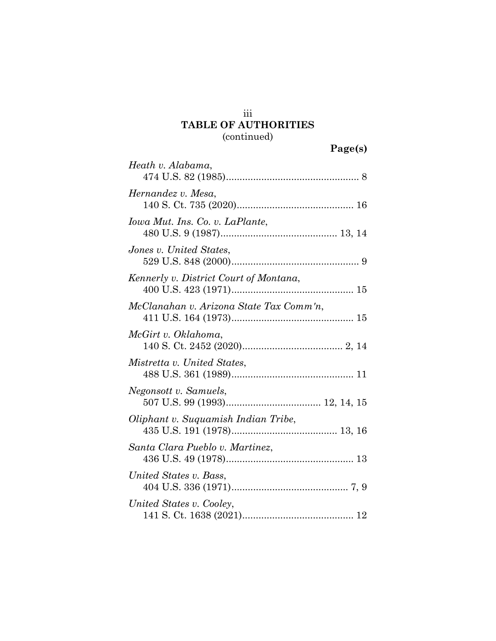### **TABLE OF AUTHORITIES**  (continued)

|                                         | Page(s) |
|-----------------------------------------|---------|
| Heath v. Alabama,                       |         |
| Hernandez v. Mesa,                      |         |
| Iowa Mut. Ins. Co. v. LaPlante,         |         |
| Jones v. United States,                 |         |
| Kennerly v. District Court of Montana,  |         |
| McClanahan v. Arizona State Tax Comm'n, |         |
| McGirt v. Oklahoma,                     |         |
| Mistretta v. United States,             |         |
| Negonsott v. Samuels,                   |         |
| Oliphant v. Suquamish Indian Tribe,     |         |
| Santa Clara Pueblo v. Martinez,         |         |
| United States v. Bass,                  |         |
| United States v. Cooley,                |         |

141 S. Ct. 1638 (2021) ......................................... 12

iii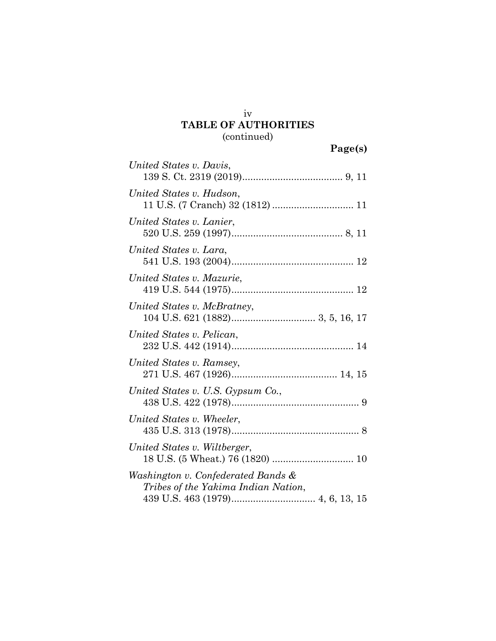### iv **TABLE OF AUTHORITIES**  (continued)

| United States v. Davis,                                                   |
|---------------------------------------------------------------------------|
| United States v. Hudson,                                                  |
| United States v. Lanier,                                                  |
| United States v. Lara,                                                    |
| United States v. Mazurie,                                                 |
| United States v. McBratney,                                               |
| United States v. Pelican,                                                 |
| United States v. Ramsey,                                                  |
| United States v. U.S. Gypsum Co.,                                         |
| United States v. Wheeler,                                                 |
| United States v. Wiltberger,                                              |
| Washington v. Confederated Bands &<br>Tribes of the Yakima Indian Nation, |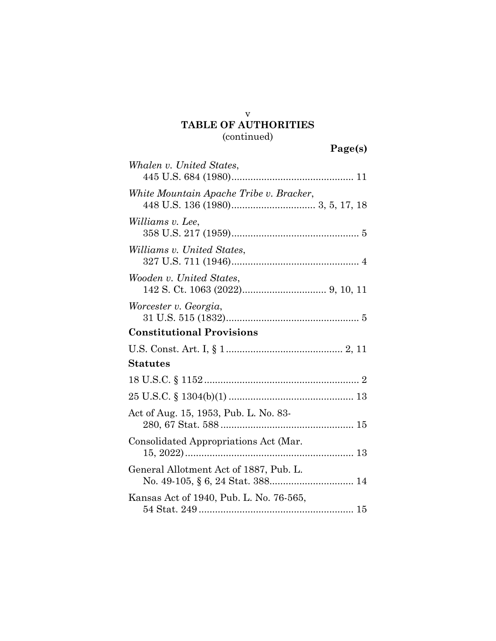### **TABLE OF AUTHORITIES**  (continued)

v

| Whalen v. United States,                |
|-----------------------------------------|
| White Mountain Apache Tribe v. Bracker, |
| Williams v. Lee,                        |
| <i>Williams v. United States,</i>       |
| Wooden v. United States,                |
| Worcester v. Georgia,                   |
| <b>Constitutional Provisions</b>        |
|                                         |
| <b>Statutes</b>                         |
|                                         |
|                                         |
| Act of Aug. 15, 1953, Pub. L. No. 83-   |
| Consolidated Appropriations Act (Mar.   |
| General Allotment Act of 1887, Pub. L.  |
| Kansas Act of 1940, Pub. L. No. 76-565, |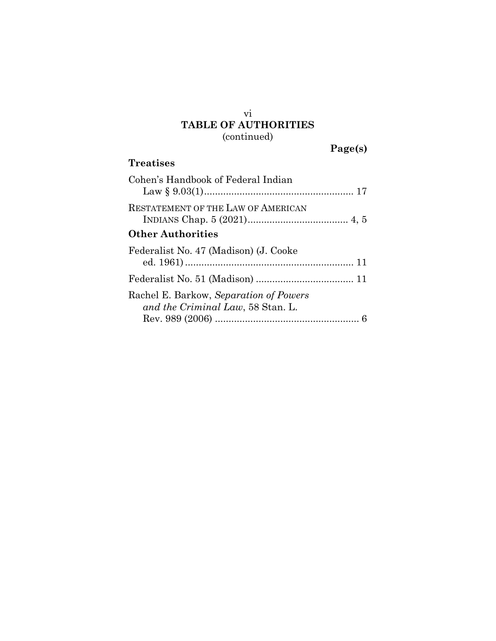## **TABLE OF AUTHORITIES**  (continued)

| aget | s |
|------|---|
|      |   |

### **Treatises**

vi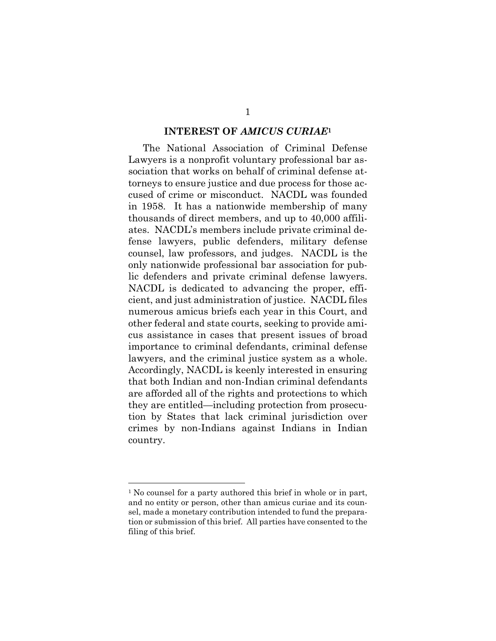#### **INTEREST OF** *AMICUS CURIAE***<sup>1</sup>**

The National Association of Criminal Defense Lawyers is a nonprofit voluntary professional bar association that works on behalf of criminal defense attorneys to ensure justice and due process for those accused of crime or misconduct. NACDL was founded in 1958. It has a nationwide membership of many thousands of direct members, and up to 40,000 affiliates. NACDL's members include private criminal defense lawyers, public defenders, military defense counsel, law professors, and judges. NACDL is the only nationwide professional bar association for public defenders and private criminal defense lawyers. NACDL is dedicated to advancing the proper, efficient, and just administration of justice. NACDL files numerous amicus briefs each year in this Court, and other federal and state courts, seeking to provide amicus assistance in cases that present issues of broad importance to criminal defendants, criminal defense lawyers, and the criminal justice system as a whole. Accordingly, NACDL is keenly interested in ensuring that both Indian and non-Indian criminal defendants are afforded all of the rights and protections to which they are entitled—including protection from prosecution by States that lack criminal jurisdiction over crimes by non-Indians against Indians in Indian country.

<sup>1</sup> No counsel for a party authored this brief in whole or in part, and no entity or person, other than amicus curiae and its counsel, made a monetary contribution intended to fund the preparation or submission of this brief. All parties have consented to the filing of this brief.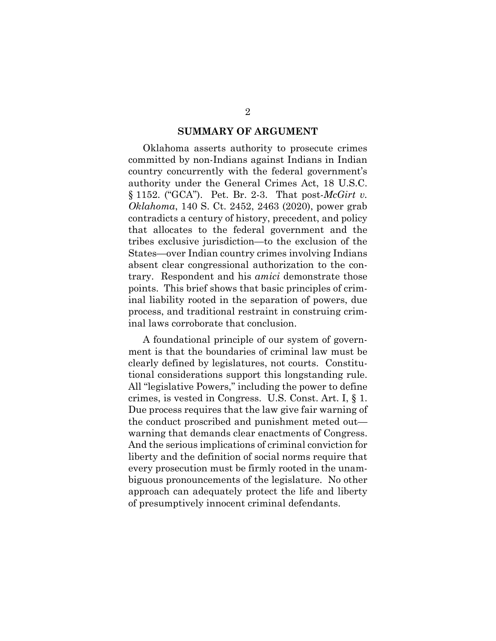#### **SUMMARY OF ARGUMENT**

Oklahoma asserts authority to prosecute crimes committed by non-Indians against Indians in Indian country concurrently with the federal government's authority under the General Crimes Act, 18 U.S.C. § 1152. ("GCA"). Pet. Br. 2-3. That post-*McGirt v. Oklahoma*, 140 S. Ct. 2452, 2463 (2020), power grab contradicts a century of history, precedent, and policy that allocates to the federal government and the tribes exclusive jurisdiction—to the exclusion of the States—over Indian country crimes involving Indians absent clear congressional authorization to the contrary. Respondent and his *amici* demonstrate those points. This brief shows that basic principles of criminal liability rooted in the separation of powers, due process, and traditional restraint in construing criminal laws corroborate that conclusion.

A foundational principle of our system of government is that the boundaries of criminal law must be clearly defined by legislatures, not courts. Constitutional considerations support this longstanding rule. All "legislative Powers," including the power to define crimes, is vested in Congress. U.S. Const. Art. I, § 1. Due process requires that the law give fair warning of the conduct proscribed and punishment meted out warning that demands clear enactments of Congress. And the serious implications of criminal conviction for liberty and the definition of social norms require that every prosecution must be firmly rooted in the unambiguous pronouncements of the legislature. No other approach can adequately protect the life and liberty of presumptively innocent criminal defendants.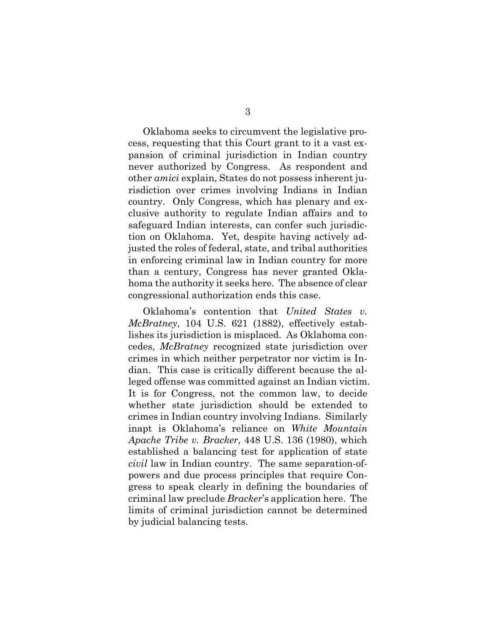Oklahoma seeks to circumvent the legislative process, requesting that this Court grant to it a vast expansion of criminal jurisdiction in Indian country never authorized by Congress. As respondent and other *amici* explain, States do not possess inherent jurisdiction over crimes involving Indians in Indian country. Only Congress, which has plenary and exclusive authority to regulate Indian affairs and to safeguard Indian interests, can confer such jurisdiction on Oklahoma. Yet, despite having actively adjusted the roles of federal, state, and tribal authorities in enforcing criminal law in Indian country for more than a century, Congress has never granted Oklahoma the authority it seeks here. The absence of clear congressional authorization ends this case.

Oklahoma's contention that *United States v. McBratney*, 104 U.S. 621 (1882), effectively establishes its jurisdiction is misplaced. As Oklahoma concedes, *McBratney* recognized state jurisdiction over crimes in which neither perpetrator nor victim is Indian. This case is critically different because the alleged offense was committed against an Indian victim. It is for Congress, not the common law, to decide whether state jurisdiction should be extended to crimes in Indian country involving Indians. Similarly inapt is Oklahoma's reliance on *White Mountain Apache Tribe v. Bracker*, 448 U.S. 136 (1980), which established a balancing test for application of state *civil* law in Indian country. The same separation-ofpowers and due process principles that require Congress to speak clearly in defining the boundaries of criminal law preclude *Bracker*'s application here. The limits of criminal jurisdiction cannot be determined by judicial balancing tests.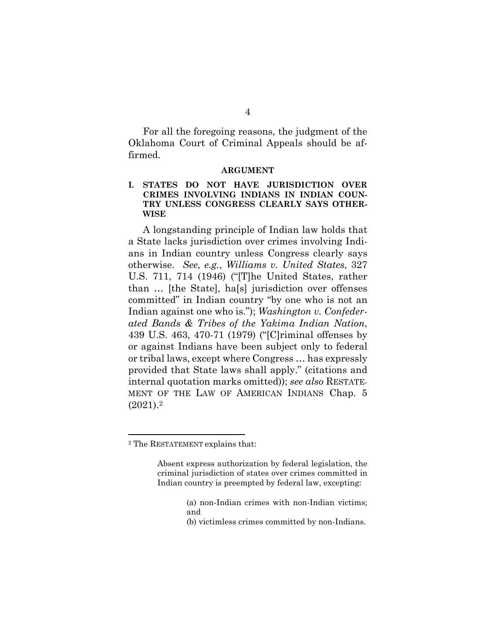For all the foregoing reasons, the judgment of the Oklahoma Court of Criminal Appeals should be affirmed.

#### **ARGUMENT**

#### **I. STATES DO NOT HAVE JURISDICTION OVER CRIMES INVOLVING INDIANS IN INDIAN COUN-TRY UNLESS CONGRESS CLEARLY SAYS OTHER-WISE**

A longstanding principle of Indian law holds that a State lacks jurisdiction over crimes involving Indians in Indian country unless Congress clearly says otherwise. *See, e.g.*, *Williams v. United States*, 327 U.S. 711, 714 (1946) ("[T]he United States, rather than … [the State], ha[s] jurisdiction over offenses committed" in Indian country "by one who is not an Indian against one who is."); *Washington v. Confederated Bands & Tribes of the Yakima Indian Nation*, 439 U.S. 463, 470-71 (1979) ("[C]riminal offenses by or against Indians have been subject only to federal or tribal laws, except where Congress … has expressly provided that State laws shall apply." (citations and internal quotation marks omitted)); *see also* RESTATE-MENT OF THE LAW OF AMERICAN INDIANS Chap. 5  $(2021).<sup>2</sup>$ 

- (a) non-Indian crimes with non-Indian victims; and
- (b) victimless crimes committed by non-Indians.

<sup>2</sup> The RESTATEMENT explains that:

Absent express authorization by federal legislation, the criminal jurisdiction of states over crimes committed in Indian country is preempted by federal law, excepting: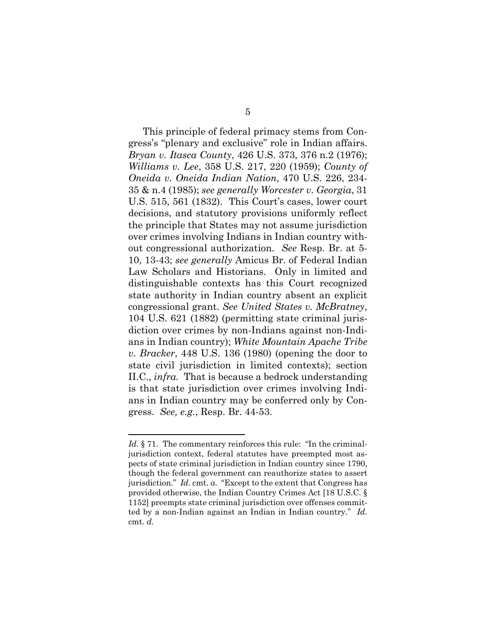This principle of federal primacy stems from Congress's "plenary and exclusive" role in Indian affairs. *Bryan v. Itasca County*, 426 U.S. 373, 376 n.2 (1976); *Williams v. Lee*, 358 U.S. 217, 220 (1959); *County of Oneida v. Oneida Indian Nation*, 470 U.S. 226, 234- 35 & n.4 (1985); *see generally Worcester v. Georgia*, 31 U.S. 515, 561 (1832). This Court's cases, lower court decisions, and statutory provisions uniformly reflect the principle that States may not assume jurisdiction over crimes involving Indians in Indian country without congressional authorization. *See* Resp. Br. at 5- 10, 13-43; *see generally* Amicus Br. of Federal Indian Law Scholars and Historians. Only in limited and distinguishable contexts has this Court recognized state authority in Indian country absent an explicit congressional grant. *See United States v. McBratney*, 104 U.S. 621 (1882) (permitting state criminal jurisdiction over crimes by non-Indians against non-Indians in Indian country); *White Mountain Apache Tribe v. Bracker*, 448 U.S. 136 (1980) (opening the door to state civil jurisdiction in limited contexts); section II.C., *infra.* That is because a bedrock understanding is that state jurisdiction over crimes involving Indians in Indian country may be conferred only by Congress. *See, e.g.*, Resp. Br. 44-53.

*Id.* § 71. The commentary reinforces this rule: "In the criminaljurisdiction context, federal statutes have preempted most aspects of state criminal jurisdiction in Indian country since 1790, though the federal government can reauthorize states to assert jurisdiction." *Id.* cmt. *a.* "Except to the extent that Congress has provided otherwise, the Indian Country Crimes Act [18 U.S.C. § 1152] preempts state criminal jurisdiction over offenses committed by a non-Indian against an Indian in Indian country." *Id.*  cmt. *d.*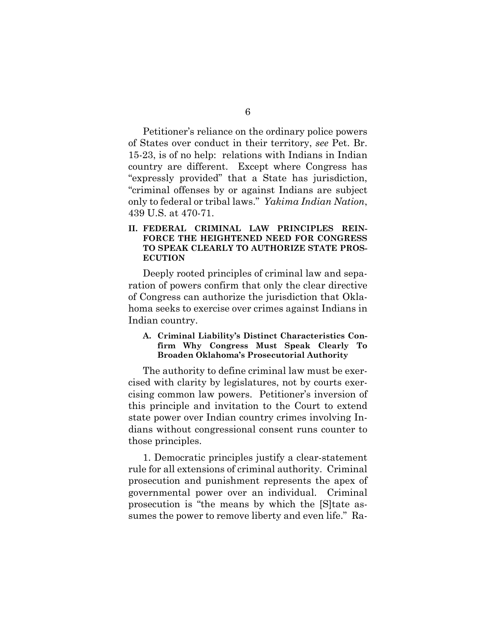Petitioner's reliance on the ordinary police powers of States over conduct in their territory, *see* Pet. Br. 15-23, is of no help: relations with Indians in Indian country are different. Except where Congress has "expressly provided" that a State has jurisdiction, "criminal offenses by or against Indians are subject only to federal or tribal laws." *Yakima Indian Nation*, 439 U.S. at 470-71.

#### **II. FEDERAL CRIMINAL LAW PRINCIPLES REIN-FORCE THE HEIGHTENED NEED FOR CONGRESS TO SPEAK CLEARLY TO AUTHORIZE STATE PROS-ECUTION**

Deeply rooted principles of criminal law and separation of powers confirm that only the clear directive of Congress can authorize the jurisdiction that Oklahoma seeks to exercise over crimes against Indians in Indian country.

#### **A. Criminal Liability's Distinct Characteristics Confirm Why Congress Must Speak Clearly To Broaden Oklahoma's Prosecutorial Authority**

The authority to define criminal law must be exercised with clarity by legislatures, not by courts exercising common law powers. Petitioner's inversion of this principle and invitation to the Court to extend state power over Indian country crimes involving Indians without congressional consent runs counter to those principles.

1. Democratic principles justify a clear-statement rule for all extensions of criminal authority. Criminal prosecution and punishment represents the apex of governmental power over an individual. Criminal prosecution is "the means by which the [S]tate assumes the power to remove liberty and even life." Ra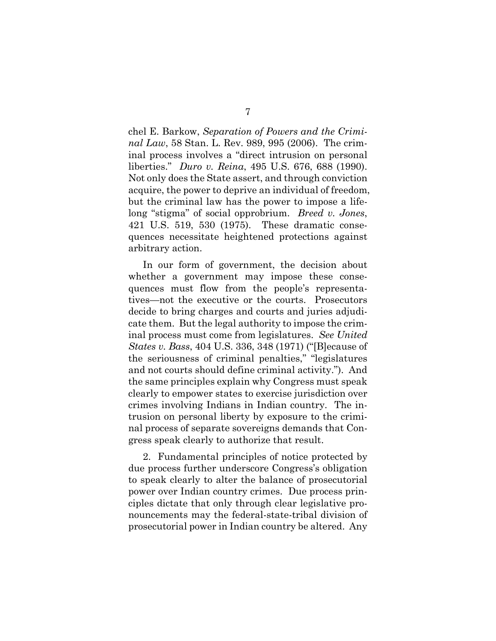chel E. Barkow, *Separation of Powers and the Criminal Law*, 58 Stan. L. Rev. 989, 995 (2006). The criminal process involves a "direct intrusion on personal liberties." *Duro v. Reina*, 495 U.S. 676, 688 (1990). Not only does the State assert, and through conviction acquire, the power to deprive an individual of freedom, but the criminal law has the power to impose a lifelong "stigma" of social opprobrium. *Breed v. Jones*, 421 U.S. 519, 530 (1975). These dramatic consequences necessitate heightened protections against arbitrary action.

In our form of government, the decision about whether a government may impose these consequences must flow from the people's representatives—not the executive or the courts. Prosecutors decide to bring charges and courts and juries adjudicate them. But the legal authority to impose the criminal process must come from legislatures. *See United States v. Bass*, 404 U.S. 336, 348 (1971) ("[B]ecause of the seriousness of criminal penalties," "legislatures and not courts should define criminal activity."). And the same principles explain why Congress must speak clearly to empower states to exercise jurisdiction over crimes involving Indians in Indian country. The intrusion on personal liberty by exposure to the criminal process of separate sovereigns demands that Congress speak clearly to authorize that result.

2. Fundamental principles of notice protected by due process further underscore Congress's obligation to speak clearly to alter the balance of prosecutorial power over Indian country crimes. Due process principles dictate that only through clear legislative pronouncements may the federal-state-tribal division of prosecutorial power in Indian country be altered. Any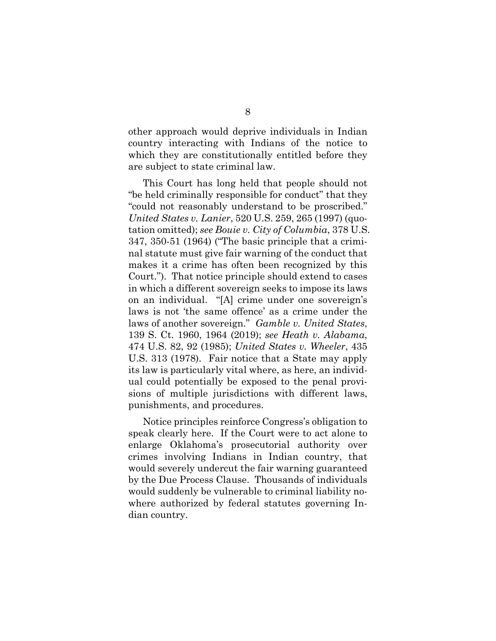other approach would deprive individuals in Indian country interacting with Indians of the notice to which they are constitutionally entitled before they are subject to state criminal law.

This Court has long held that people should not "be held criminally responsible for conduct" that they "could not reasonably understand to be proscribed." *United States v. Lanier*, 520 U.S. 259, 265 (1997) (quotation omitted); *see Bouie v. City of Columbia*, 378 U.S. 347, 350-51 (1964) ("The basic principle that a criminal statute must give fair warning of the conduct that makes it a crime has often been recognized by this Court."). That notice principle should extend to cases in which a different sovereign seeks to impose its laws on an individual. "[A] crime under one sovereign's laws is not 'the same offence' as a crime under the laws of another sovereign." *Gamble v. United States*, 139 S. Ct. 1960, 1964 (2019); *see Heath v. Alabama*, 474 U.S. 82, 92 (1985); *United States v. Wheeler*, 435 U.S. 313 (1978). Fair notice that a State may apply its law is particularly vital where, as here, an individual could potentially be exposed to the penal provisions of multiple jurisdictions with different laws, punishments, and procedures.

Notice principles reinforce Congress's obligation to speak clearly here. If the Court were to act alone to enlarge Oklahoma's prosecutorial authority over crimes involving Indians in Indian country, that would severely undercut the fair warning guaranteed by the Due Process Clause. Thousands of individuals would suddenly be vulnerable to criminal liability nowhere authorized by federal statutes governing Indian country.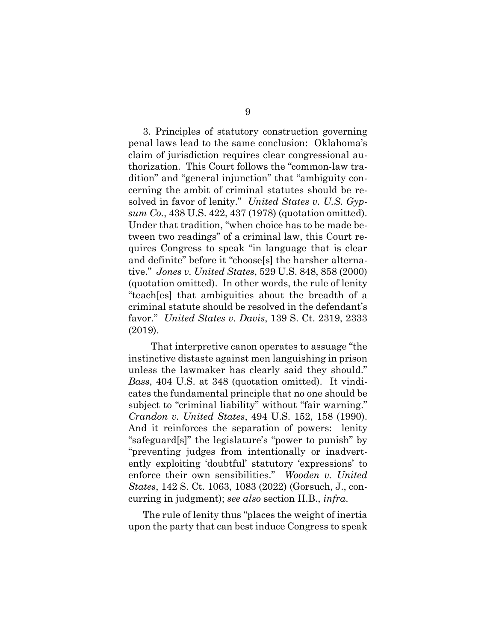3. Principles of statutory construction governing penal laws lead to the same conclusion: Oklahoma's claim of jurisdiction requires clear congressional authorization. This Court follows the "common-law tradition" and "general injunction" that "ambiguity concerning the ambit of criminal statutes should be resolved in favor of lenity." *United States v. U.S. Gypsum Co.*, 438 U.S. 422, 437 (1978) (quotation omitted). Under that tradition, "when choice has to be made between two readings" of a criminal law, this Court requires Congress to speak "in language that is clear and definite" before it "choose[s] the harsher alternative." *Jones v. United States*, 529 U.S. 848, 858 (2000) (quotation omitted). In other words, the rule of lenity "teach[es] that ambiguities about the breadth of a criminal statute should be resolved in the defendant's favor." *United States v. Davis*, 139 S. Ct. 2319, 2333 (2019).

 That interpretive canon operates to assuage "the instinctive distaste against men languishing in prison unless the lawmaker has clearly said they should." *Bass*, 404 U.S. at 348 (quotation omitted). It vindicates the fundamental principle that no one should be subject to "criminal liability" without "fair warning." *Crandon v. United States*, 494 U.S. 152, 158 (1990). And it reinforces the separation of powers: lenity "safeguard[s]" the legislature's "power to punish" by "preventing judges from intentionally or inadvertently exploiting 'doubtful' statutory 'expressions' to enforce their own sensibilities." *Wooden v. United States*, 142 S. Ct. 1063, 1083 (2022) (Gorsuch, J., concurring in judgment); *see also* section II.B., *infra*.

The rule of lenity thus "places the weight of inertia upon the party that can best induce Congress to speak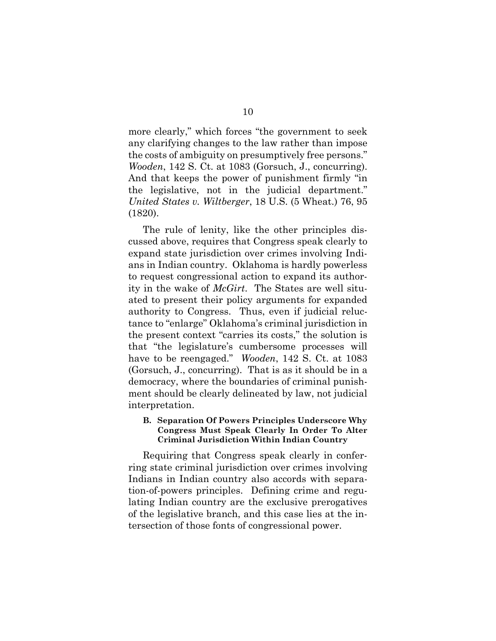more clearly," which forces "the government to seek any clarifying changes to the law rather than impose the costs of ambiguity on presumptively free persons." *Wooden*, 142 S. Ct. at 1083 (Gorsuch, J., concurring). And that keeps the power of punishment firmly "in the legislative, not in the judicial department." *United States v. Wiltberger*, 18 U.S. (5 Wheat.) 76, 95 (1820).

The rule of lenity, like the other principles discussed above, requires that Congress speak clearly to expand state jurisdiction over crimes involving Indians in Indian country. Oklahoma is hardly powerless to request congressional action to expand its authority in the wake of *McGirt*. The States are well situated to present their policy arguments for expanded authority to Congress. Thus, even if judicial reluctance to "enlarge" Oklahoma's criminal jurisdiction in the present context "carries its costs," the solution is that "the legislature's cumbersome processes will have to be reengaged." *Wooden*, 142 S. Ct. at 1083 (Gorsuch, J., concurring). That is as it should be in a democracy, where the boundaries of criminal punishment should be clearly delineated by law, not judicial interpretation.

#### **B. Separation Of Powers Principles Underscore Why Congress Must Speak Clearly In Order To Alter Criminal Jurisdiction Within Indian Country**

Requiring that Congress speak clearly in conferring state criminal jurisdiction over crimes involving Indians in Indian country also accords with separation-of-powers principles. Defining crime and regulating Indian country are the exclusive prerogatives of the legislative branch, and this case lies at the intersection of those fonts of congressional power.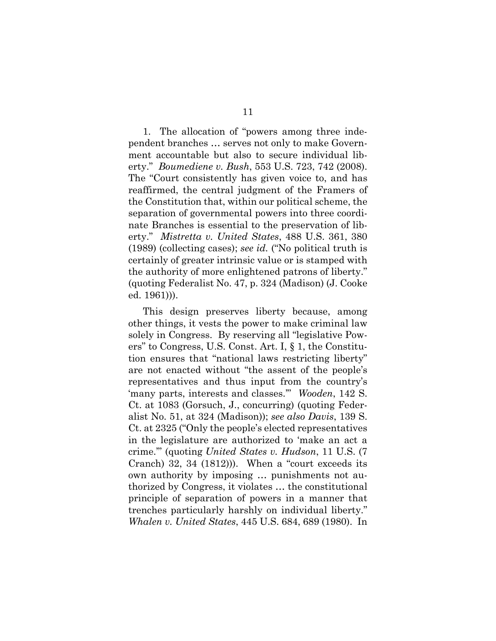1. The allocation of "powers among three independent branches … serves not only to make Government accountable but also to secure individual liberty." *Boumediene v. Bush*, 553 U.S. 723, 742 (2008). The "Court consistently has given voice to, and has reaffirmed, the central judgment of the Framers of the Constitution that, within our political scheme, the separation of governmental powers into three coordinate Branches is essential to the preservation of liberty." *Mistretta v. United States*, 488 U.S. 361, 380 (1989) (collecting cases); *see id.* ("No political truth is certainly of greater intrinsic value or is stamped with the authority of more enlightened patrons of liberty." (quoting Federalist No. 47, p. 324 (Madison) (J. Cooke ed. 1961))).

This design preserves liberty because, among other things, it vests the power to make criminal law solely in Congress. By reserving all "legislative Powers" to Congress, U.S. Const. Art. I, § 1, the Constitution ensures that "national laws restricting liberty" are not enacted without "the assent of the people's representatives and thus input from the country's 'many parts, interests and classes.'" *Wooden*, 142 S. Ct. at 1083 (Gorsuch, J., concurring) (quoting Federalist No. 51, at 324 (Madison)); *see also Davis*, 139 S. Ct. at 2325 ("Only the people's elected representatives in the legislature are authorized to 'make an act a crime.'" (quoting *United States v. Hudson*, 11 U.S. (7 Cranch) 32, 34 (1812))). When a "court exceeds its own authority by imposing … punishments not authorized by Congress, it violates … the constitutional principle of separation of powers in a manner that trenches particularly harshly on individual liberty." *Whalen v. United States*, 445 U.S. 684, 689 (1980). In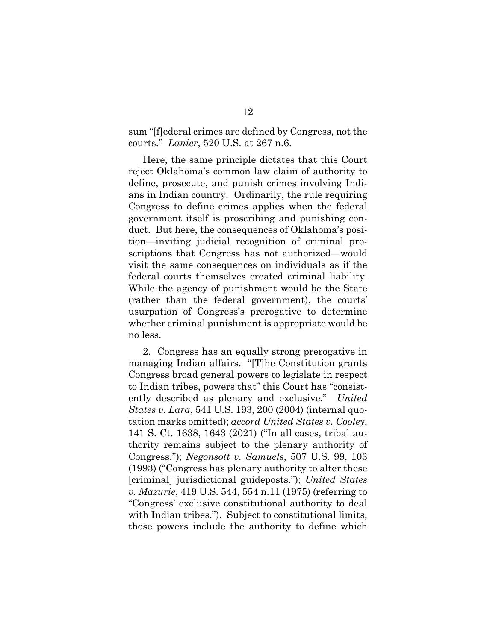sum "[f]ederal crimes are defined by Congress, not the courts." *Lanier*, 520 U.S. at 267 n.6.

Here, the same principle dictates that this Court reject Oklahoma's common law claim of authority to define, prosecute, and punish crimes involving Indians in Indian country. Ordinarily, the rule requiring Congress to define crimes applies when the federal government itself is proscribing and punishing conduct. But here, the consequences of Oklahoma's position—inviting judicial recognition of criminal proscriptions that Congress has not authorized—would visit the same consequences on individuals as if the federal courts themselves created criminal liability. While the agency of punishment would be the State (rather than the federal government), the courts' usurpation of Congress's prerogative to determine whether criminal punishment is appropriate would be no less.

2. Congress has an equally strong prerogative in managing Indian affairs. "[T]he Constitution grants Congress broad general powers to legislate in respect to Indian tribes, powers that" this Court has "consistently described as plenary and exclusive." *United States v. Lara*, 541 U.S. 193, 200 (2004) (internal quotation marks omitted); *accord United States v. Cooley*, 141 S. Ct. 1638, 1643 (2021) ("In all cases, tribal authority remains subject to the plenary authority of Congress."); *Negonsott v. Samuels*, 507 U.S. 99, 103 (1993) ("Congress has plenary authority to alter these [criminal] jurisdictional guideposts."); *United States v. Mazurie*, 419 U.S. 544, 554 n.11 (1975) (referring to "Congress' exclusive constitutional authority to deal with Indian tribes."). Subject to constitutional limits, those powers include the authority to define which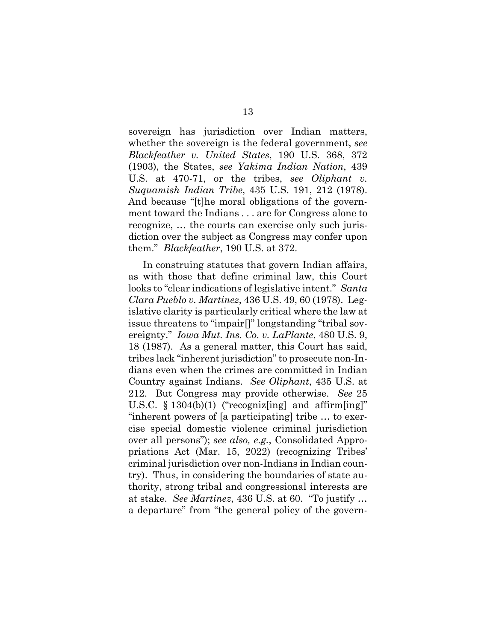sovereign has jurisdiction over Indian matters, whether the sovereign is the federal government, *see Blackfeather v. United States*, 190 U.S. 368, 372 (1903), the States, *see Yakima Indian Nation*, 439 U.S. at 470-71, or the tribes, *see Oliphant v. Suquamish Indian Tribe*, 435 U.S. 191, 212 (1978). And because "[t]he moral obligations of the government toward the Indians . . . are for Congress alone to recognize, … the courts can exercise only such jurisdiction over the subject as Congress may confer upon them." *Blackfeather*, 190 U.S. at 372.

In construing statutes that govern Indian affairs, as with those that define criminal law, this Court looks to "clear indications of legislative intent." *Santa Clara Pueblo v. Martinez*, 436 U.S. 49, 60 (1978). Legislative clarity is particularly critical where the law at issue threatens to "impair[]" longstanding "tribal sovereignty." *Iowa Mut. Ins. Co. v. LaPlante*, 480 U.S. 9, 18 (1987). As a general matter, this Court has said, tribes lack "inherent jurisdiction" to prosecute non-Indians even when the crimes are committed in Indian Country against Indians. *See Oliphant*, 435 U.S. at 212. But Congress may provide otherwise. *See* 25 U.S.C.  $\S 1304(b)(1)$  ("recognizes and affirm [ing]" "inherent powers of [a participating] tribe … to exercise special domestic violence criminal jurisdiction over all persons"); *see also, e.g.*, Consolidated Appropriations Act (Mar. 15, 2022) (recognizing Tribes' criminal jurisdiction over non-Indians in Indian country). Thus, in considering the boundaries of state authority, strong tribal and congressional interests are at stake. *See Martinez*, 436 U.S. at 60. "To justify … a departure" from "the general policy of the govern-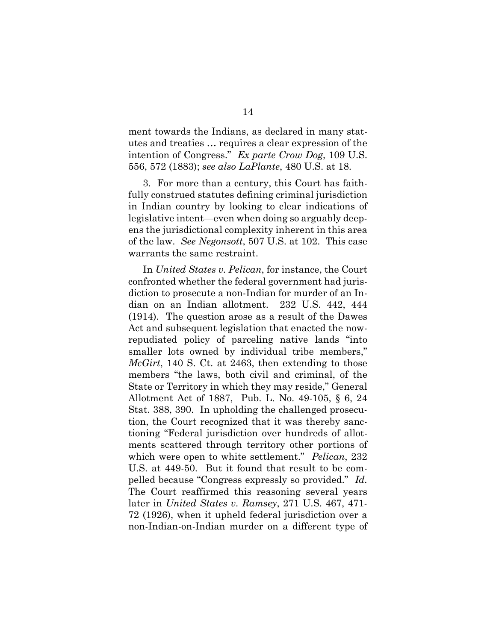ment towards the Indians, as declared in many statutes and treaties … requires a clear expression of the intention of Congress." *Ex parte Crow Dog*, 109 U.S. 556, 572 (1883); *see also LaPlante*, 480 U.S. at 18.

3. For more than a century, this Court has faithfully construed statutes defining criminal jurisdiction in Indian country by looking to clear indications of legislative intent—even when doing so arguably deepens the jurisdictional complexity inherent in this area of the law. *See Negonsott*, 507 U.S. at 102. This case warrants the same restraint.

In *United States v. Pelican*, for instance, the Court confronted whether the federal government had jurisdiction to prosecute a non-Indian for murder of an Indian on an Indian allotment. 232 U.S. 442, 444 (1914). The question arose as a result of the Dawes Act and subsequent legislation that enacted the nowrepudiated policy of parceling native lands "into smaller lots owned by individual tribe members," *McGirt*, 140 S. Ct. at 2463, then extending to those members "the laws, both civil and criminal, of the State or Territory in which they may reside," General Allotment Act of 1887, Pub. L. No. 49-105, § 6, 24 Stat. 388, 390. In upholding the challenged prosecution, the Court recognized that it was thereby sanctioning "Federal jurisdiction over hundreds of allotments scattered through territory other portions of which were open to white settlement." *Pelican*, 232 U.S. at 449-50. But it found that result to be compelled because "Congress expressly so provided." *Id.* The Court reaffirmed this reasoning several years later in *United States v. Ramsey*, 271 U.S. 467, 471- 72 (1926), when it upheld federal jurisdiction over a non-Indian-on-Indian murder on a different type of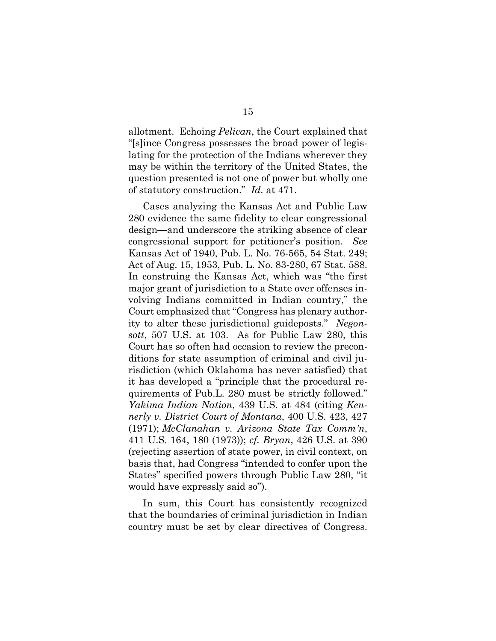allotment. Echoing *Pelican*, the Court explained that "[s]ince Congress possesses the broad power of legislating for the protection of the Indians wherever they may be within the territory of the United States, the question presented is not one of power but wholly one of statutory construction." *Id.* at 471.

Cases analyzing the Kansas Act and Public Law 280 evidence the same fidelity to clear congressional design—and underscore the striking absence of clear congressional support for petitioner's position. *See* Kansas Act of 1940, Pub. L. No. 76-565, 54 Stat. 249; Act of Aug. 15, 1953, Pub. L. No. 83-280, 67 Stat. 588. In construing the Kansas Act, which was "the first major grant of jurisdiction to a State over offenses involving Indians committed in Indian country," the Court emphasized that "Congress has plenary authority to alter these jurisdictional guideposts." *Negonsott*, 507 U.S. at 103. As for Public Law 280, this Court has so often had occasion to review the preconditions for state assumption of criminal and civil jurisdiction (which Oklahoma has never satisfied) that it has developed a "principle that the procedural requirements of Pub.L. 280 must be strictly followed." *Yakima Indian Nation*, 439 U.S. at 484 (citing *Kennerly v. District Court of Montana*, 400 U.S. 423, 427 (1971); *McClanahan v. Arizona State Tax Comm'n*, 411 U.S. 164, 180 (1973)); *cf. Bryan*, 426 U.S. at 390 (rejecting assertion of state power, in civil context, on basis that, had Congress "intended to confer upon the States" specified powers through Public Law 280, "it would have expressly said so").

In sum, this Court has consistently recognized that the boundaries of criminal jurisdiction in Indian country must be set by clear directives of Congress.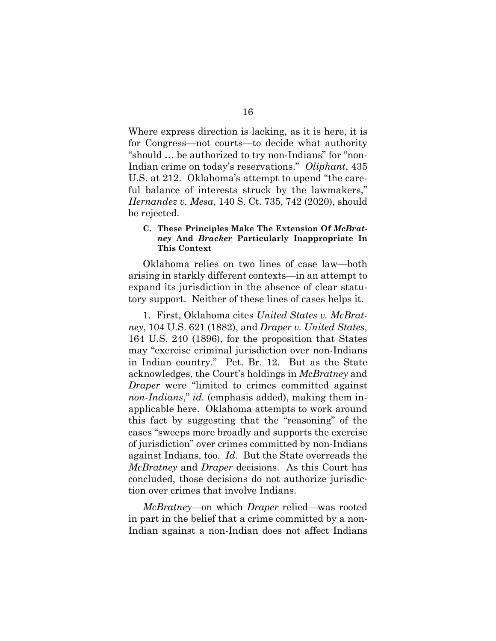Where express direction is lacking, as it is here, it is for Congress—not courts—to decide what authority "should … be authorized to try non-Indians" for "non-Indian crime on today's reservations." *Oliphant*, 435 U.S. at 212. Oklahoma's attempt to upend "the careful balance of interests struck by the lawmakers," *Hernandez v. Mesa*, 140 S. Ct. 735, 742 (2020), should be rejected.

#### **C. These Principles Make The Extension Of** *McBratney* **And** *Bracker* **Particularly Inappropriate In This Context**

Oklahoma relies on two lines of case law—both arising in starkly different contexts—in an attempt to expand its jurisdiction in the absence of clear statutory support. Neither of these lines of cases helps it.

1. First, Oklahoma cites *United States v. McBratney*, 104 U.S. 621 (1882), and *Draper v. United States*, 164 U.S. 240 (1896), for the proposition that States may "exercise criminal jurisdiction over non-Indians in Indian country." Pet. Br. 12. But as the State acknowledges, the Court's holdings in *McBratney* and *Draper* were "limited to crimes committed against *non-Indians*," *id.* (emphasis added), making them inapplicable here. Oklahoma attempts to work around this fact by suggesting that the "reasoning" of the cases "sweeps more broadly and supports the exercise of jurisdiction" over crimes committed by non-Indians against Indians, too. *Id.* But the State overreads the *McBratney* and *Draper* decisions. As this Court has concluded, those decisions do not authorize jurisdiction over crimes that involve Indians.

*McBratney*—on which *Draper* relied—was rooted in part in the belief that a crime committed by a non-Indian against a non-Indian does not affect Indians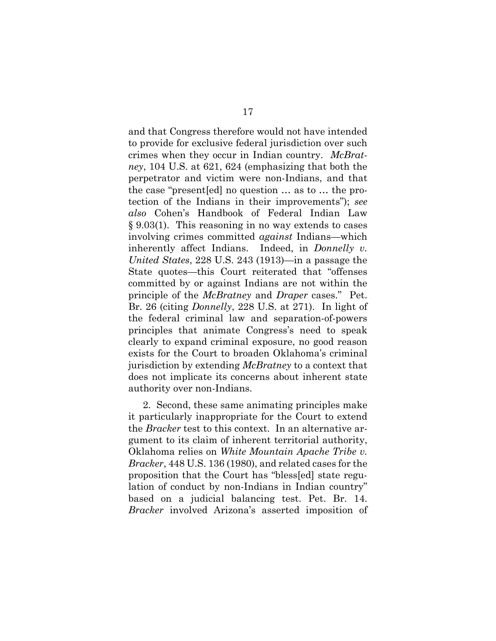and that Congress therefore would not have intended to provide for exclusive federal jurisdiction over such crimes when they occur in Indian country. *McBratney*, 104 U.S. at 621, 624 (emphasizing that both the perpetrator and victim were non-Indians, and that the case "present[ed] no question … as to … the protection of the Indians in their improvements"); *see also* Cohen's Handbook of Federal Indian Law § 9.03(1). This reasoning in no way extends to cases involving crimes committed *against* Indians—which inherently affect Indians. Indeed, in *Donnelly v. United States*, 228 U.S. 243 (1913)—in a passage the State quotes—this Court reiterated that "offenses committed by or against Indians are not within the principle of the *McBratney* and *Draper* cases." Pet. Br. 26 (citing *Donnelly*, 228 U.S. at 271). In light of the federal criminal law and separation-of-powers principles that animate Congress's need to speak clearly to expand criminal exposure, no good reason exists for the Court to broaden Oklahoma's criminal jurisdiction by extending *McBratney* to a context that does not implicate its concerns about inherent state authority over non-Indians.

2. Second, these same animating principles make it particularly inappropriate for the Court to extend the *Bracker* test to this context. In an alternative argument to its claim of inherent territorial authority, Oklahoma relies on *White Mountain Apache Tribe v. Bracker*, 448 U.S. 136 (1980), and related cases for the proposition that the Court has "bless[ed] state regulation of conduct by non-Indians in Indian country" based on a judicial balancing test. Pet. Br. 14. *Bracker* involved Arizona's asserted imposition of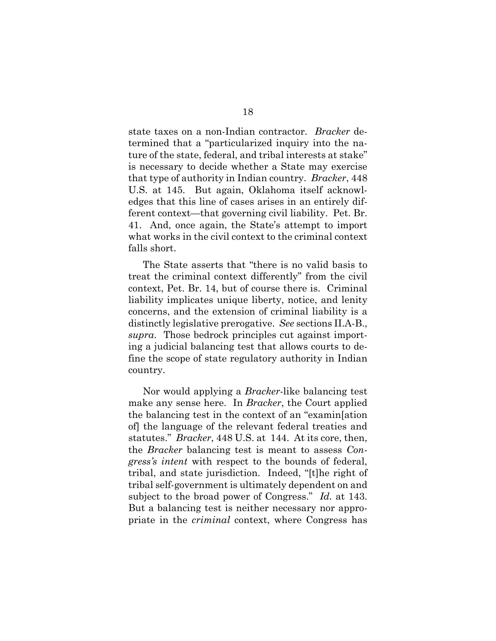state taxes on a non-Indian contractor. *Bracker* determined that a "particularized inquiry into the nature of the state, federal, and tribal interests at stake" is necessary to decide whether a State may exercise that type of authority in Indian country. *Bracker*, 448 U.S. at 145. But again, Oklahoma itself acknowledges that this line of cases arises in an entirely different context—that governing civil liability. Pet. Br. 41. And, once again, the State's attempt to import what works in the civil context to the criminal context falls short.

The State asserts that "there is no valid basis to treat the criminal context differently" from the civil context, Pet. Br. 14, but of course there is. Criminal liability implicates unique liberty, notice, and lenity concerns, and the extension of criminal liability is a distinctly legislative prerogative. *See* sections II.A-B., *supra*. Those bedrock principles cut against importing a judicial balancing test that allows courts to define the scope of state regulatory authority in Indian country.

Nor would applying a *Bracker*-like balancing test make any sense here. In *Bracker*, the Court applied the balancing test in the context of an "examin[ation of] the language of the relevant federal treaties and statutes." *Bracker*, 448 U.S. at 144. At its core, then, the *Bracker* balancing test is meant to assess *Congress's intent* with respect to the bounds of federal, tribal, and state jurisdiction. Indeed, "[t]he right of tribal self-government is ultimately dependent on and subject to the broad power of Congress." *Id.* at 143. But a balancing test is neither necessary nor appropriate in the *criminal* context, where Congress has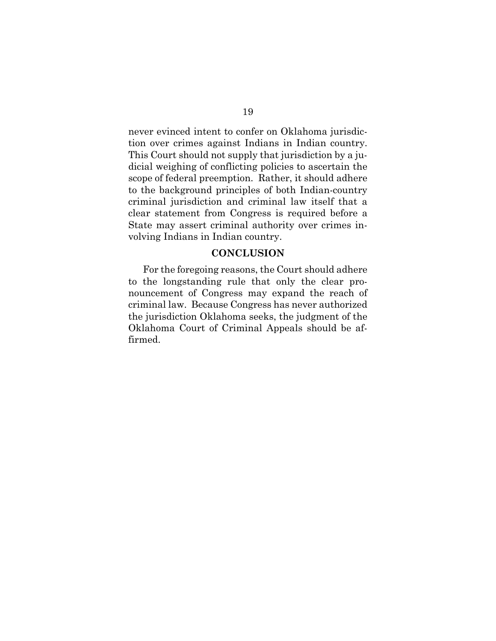never evinced intent to confer on Oklahoma jurisdiction over crimes against Indians in Indian country. This Court should not supply that jurisdiction by a judicial weighing of conflicting policies to ascertain the scope of federal preemption. Rather, it should adhere to the background principles of both Indian-country criminal jurisdiction and criminal law itself that a clear statement from Congress is required before a State may assert criminal authority over crimes involving Indians in Indian country.

#### **CONCLUSION**

For the foregoing reasons, the Court should adhere to the longstanding rule that only the clear pronouncement of Congress may expand the reach of criminal law. Because Congress has never authorized the jurisdiction Oklahoma seeks, the judgment of the Oklahoma Court of Criminal Appeals should be affirmed.